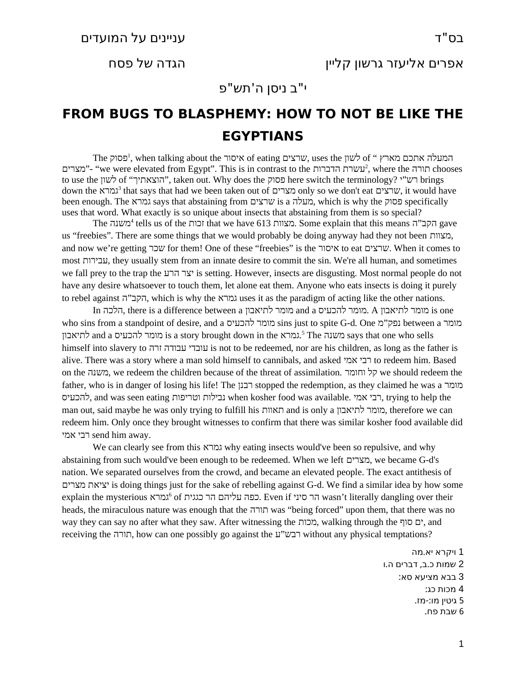י"ב ניסן ה'תש"פ

## **FROM BUGS TO BLASPHEMY: HOW TO NOT BE LIKE THE EGYPTIANS**

The המעלה אתכם מארץ " of לשון when talking about the איסור, uses the המעלה אתכם מארץ " מצרים"- "we were elevated from Egypt". This is in contrast to the הורה chooses תורה chooses to use the לשון of "הוצאתיך", taken out. Why does the פסוק here switch the terminology? י"רש brings down the *גמרא shat says that had we been taken out of מצרים only so we don't eat שרצים*, it would have been enough. The גמרא says that abstaining from שרצים is a מעלה, which is why the פסוק specifically uses that word. What exactly is so unique about insects that abstaining from them is so special?

The מצוות tells us of the מצוות that we have 613 מצוות. Some explain that this means הקב"ה gave us "freebies". There are some things that we would probably be doing anyway had they not been מצוות, and now we're getting שכר for them! One of these "freebies" is the איסור to eat שרצים. When it comes to most עבירות, they usually stem from an innate desire to commit the sin. We're all human, and sometimes we fall prey to the trap the הרע יצר is setting. However, insects are disgusting. Most normal people do not have any desire whatsoever to touch them, let alone eat them. Anyone who eats insects is doing it purely to rebel against הקב"ה, which is why the גמרא uses it as the paradigm of acting like the other nations.

In הלכה, there is a difference between a לתיאבון מומר and a להכעיס מומר. A לתיאבון מומר is one who sins from a standpoint of desire, and a להכעיס מומר sins just to spite G-d. One מ"נפק between a מומר לתיאבון and a מומר להכעיס.<sup>[5](#page-0-4)</sup> The גמרא.<sup>5</sup> The מומר גהכעיס. אמת is a story brought down in the גמרא. himself into slavery to זרה עבודה עובדי is not to be redeemed, nor are his children, as long as the father is alive. There was a story where a man sold himself to cannibals, and asked אמי רבי to redeem him. Based on the משנה, we redeem the children because of the threat of assimilation. וחומר קל we should redeem the father, who is in danger of losing his life! The רבנן stopped the redemption, as they claimed he was a מומר להכעיס, and was seen eating וטריפות נבילות when kosher food was available. אמי רבי, trying to help the man out, said maybe he was only trying to fulfill his תאוות and is only a לתיאבון מומר, therefore we can redeem him. Only once they brought witnesses to confirm that there was similar kosher food available did אמי רבי send him away.

We can clearly see from this גמרא why eating insects would've been so repulsive, and why abstaining from such would've been enough to be redeemed. When we left מצרים, we became G-d's nation. We separated ourselves from the crowd, and became an elevated people. The exact antithesis of מצרים יציאת is doing things just for the sake of rebelling against G-d. We find a similar idea by how some explain the mysterious גמרא $^6$  $^6$  of הר סיני, Even if כפה עליהם הר כגגית. Even if הר סיני heads, the miraculous nature was enough that the תורה was "being forced" upon them, that there was no way they can say no after what they saw. After witnessing the מכות, walking through the סוף ים, and receiving the תורה, how can one possibly go against the ע"רבש without any physical temptations?

> <span id="page-0-5"></span><span id="page-0-4"></span><span id="page-0-3"></span><span id="page-0-2"></span><span id="page-0-1"></span><span id="page-0-0"></span>1 . ויקרא יא מה 2 שמות כ.ב, דברים ה.ו 3 בבא מציעא סא : 4 מכות כג: 5 גיטין מו:-מז. 6 שבת פח .